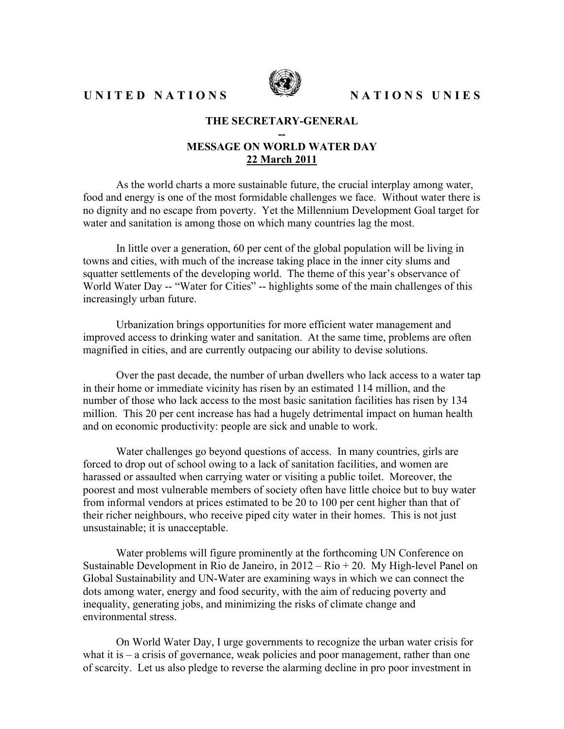UNITED NATIONS SEPTIONS UNIES



## **THE SECRETARY-GENERAL**

## **-- MESSAGE ON WORLD WATER DAY 22 March 2011**

As the world charts a more sustainable future, the crucial interplay among water, food and energy is one of the most formidable challenges we face. Without water there is no dignity and no escape from poverty. Yet the Millennium Development Goal target for water and sanitation is among those on which many countries lag the most.

In little over a generation, 60 per cent of the global population will be living in towns and cities, with much of the increase taking place in the inner city slums and squatter settlements of the developing world. The theme of this year's observance of World Water Day -- "Water for Cities" -- highlights some of the main challenges of this increasingly urban future.

Urbanization brings opportunities for more efficient water management and improved access to drinking water and sanitation. At the same time, problems are often magnified in cities, and are currently outpacing our ability to devise solutions.

Over the past decade, the number of urban dwellers who lack access to a water tap in their home or immediate vicinity has risen by an estimated 114 million, and the number of those who lack access to the most basic sanitation facilities has risen by 134 million. This 20 per cent increase has had a hugely detrimental impact on human health and on economic productivity: people are sick and unable to work.

Water challenges go beyond questions of access. In many countries, girls are forced to drop out of school owing to a lack of sanitation facilities, and women are harassed or assaulted when carrying water or visiting a public toilet. Moreover, the poorest and most vulnerable members of society often have little choice but to buy water from informal vendors at prices estimated to be 20 to 100 per cent higher than that of their richer neighbours, who receive piped city water in their homes. This is not just unsustainable; it is unacceptable.

Water problems will figure prominently at the forthcoming UN Conference on Sustainable Development in Rio de Janeiro, in 2012 – Rio + 20. My High-level Panel on Global Sustainability and UN-Water are examining ways in which we can connect the dots among water, energy and food security, with the aim of reducing poverty and inequality, generating jobs, and minimizing the risks of climate change and environmental stress.

On World Water Day, I urge governments to recognize the urban water crisis for what it is – a crisis of governance, weak policies and poor management, rather than one of scarcity. Let us also pledge to reverse the alarming decline in pro poor investment in